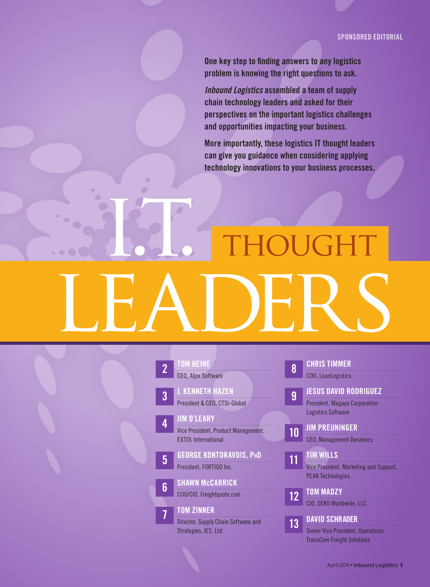One key step to finding answers to any logistics problem is knowing the right questions to ask.

*Inbound Logistics* assembled a team of supply chain technology leaders and asked for their perspectives on the important logistics challenges and opportunities impacting your business.

More importantly, these logistics IT thought leaders can give you guidance when considering applying technology innovations to your business processes.

I. THOUGHT LEADERS

| $\overline{2}$ | <b>TOM HEINE</b>                    |
|----------------|-------------------------------------|
|                | <b>CEO, Aljex Software</b>          |
|                |                                     |
| 3              | <b>J. KENNETH HAZEN</b>             |
|                | President & CEO, CTSI-Global        |
|                |                                     |
| ∕≬             | <b>JIM O'LEARY</b>                  |
|                | Vice President, Product Management, |
|                | <b>EXTOL International</b>          |
|                |                                     |
| 5              | <b>GEORGE KONTORAVDIS, PHD</b>      |
|                | President, FORTIGO Inc.             |
|                |                                     |
| հ              | <b>SHAWN MCCARRICK</b>              |
|                | COO/CIO, Freightquote.com           |
|                |                                     |

7 Tom [Zinner](#page-6-0)

[Strategies, IES, Ltd.](#page-6-0)

[Director, Supply Chain Software and](#page-6-0) 

| 8               | <b>CHRIS TIMMER</b>                                               |
|-----------------|-------------------------------------------------------------------|
|                 | <b>COO. LeanLogistics</b>                                         |
| 9               | <b>JESUS DAVID RODRIGUEZ</b>                                      |
|                 | <b>President, Magaya Corporation</b><br><b>Logistics Software</b> |
| 10              | <b>JIM PREUNINGER</b>                                             |
|                 | <b>CEO, Management Dynamics</b><br><b>TIM WILLS</b>               |
| 11              | Vice President, Marketing and Support,                            |
|                 | <b>PEAK Technologies</b>                                          |
| $1\overline{2}$ | <b>TOM MADZY</b>                                                  |
|                 | CIO, SEKO Worldwide, LLC                                          |
| 13              | <b>DAVID SCHRADER</b>                                             |
|                 | Senior Vice President, Operations,                                |

[TransCore Freight Solutions](#page-12-0)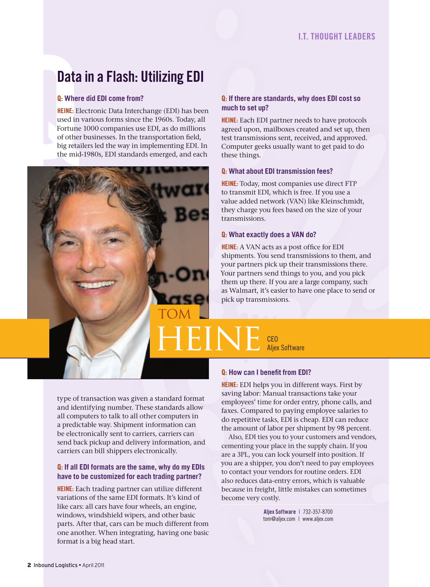# Data in a Flash: Utilizing EDI

### Q: **Where did EDI come from?**

HEINE: Electronic Data Interchange (EDI) has been used in various forms since the 1960s. Today, all Fortune 1000 companies use EDI, as do millions of other businesses. In the transportation field, big retailers led the way in implementing EDI. In the mid-1980s, EDI standards emerged, and each

<span id="page-1-0"></span>

### Q: **If there are standards, why does EDI cost so much to set up?**

HEINE: Each EDI partner needs to have protocols agreed upon, mailboxes created and set up, then test transmissions sent, received, and approved. Computer geeks usually want to get paid to do these things.

### Q: **What about EDI transmission fees?**

HEINE: Today, most companies use direct FTP to transmit EDI, which is free. If you use a value added network (VAN) like Kleinschmidt, they charge you fees based on the size of your transmissions.

#### Q: **What exactly does a VAN do?**

HEINE: A VAN acts as a post office for EDI shipments. You send transmissions to them, and your partners pick up their transmissions there. Your partners send things to you, and you pick them up there. If you are a large company, such as Walmart, it's easier to have one place to send or pick up transmissions.

**Aliex Software** 

type of transaction was given a standard format and identifying number. These standards allow all computers to talk to all other computers in a predictable way. Shipment information can be electronically sent to carriers, carriers can send back pickup and delivery information, and carriers can bill shippers electronically.

### Q: **If all EDI formats are the same, why do my EDIs have to be customized for each trading partner?**

HEINE: Each trading partner can utilize different variations of the same EDI formats. It's kind of like cars: all cars have four wheels, an engine, windows, windshield wipers, and other basic parts. After that, cars can be much different from one another. When integrating, having one basic format is a big head start.

#### Q: **How can I benefit from EDI?**

HEINE: EDI helps you in different ways. First by saving labor: Manual transactions take your employees' time for order entry, phone calls, and faxes. Compared to paying employee salaries to do repetitive tasks, EDI is cheap. EDI can reduce the amount of labor per shipment by 98 percent.

Also, EDI ties you to your customers and vendors, cementing your place in the supply chain. If you are a 3PL, you can lock yourself into position. If you are a shipper, you don't need to pay employees to contact your vendors for routine orders. EDI also reduces data-entry errors, which is valuable because in freight, little mistakes can sometimes become very costly.

> Aljex Software | 732-357-8700 tom@aljex.com | www.aljex.com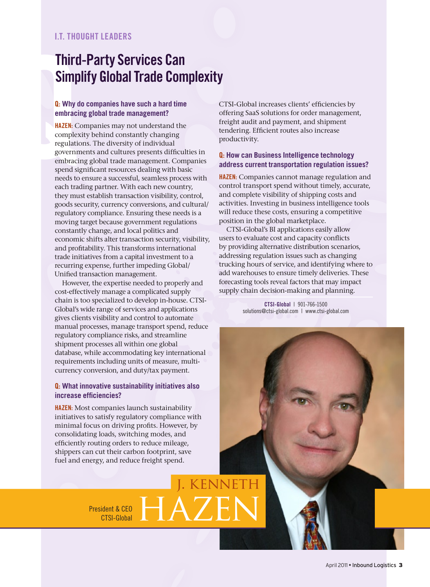### I.T. THOUGHT LEADERS

### Third-Party Services Can Simplify Global Trade Complexity

### Q: **Why do companies have such a hard time embracing global trade management?**

<span id="page-2-0"></span>**Third**<br>
Simp<br> **Q:** Why d<br>
embraci<br>
embraci<br>
regulatic<br>
governn<br>
embraci<br>
spend si<br>
needs to<br>
ceds to **HAZEN:** Companies may not understand the complexity behind constantly changing regulations. The diversity of individual governments and cultures presents difficulties in embracing global trade management. Companies spend significant resources dealing with basic needs to ensure a successful, seamless process with each trading partner. With each new country, they must establish transaction visibility, control, goods security, currency conversions, and cultural/ regulatory compliance. Ensuring these needs is a moving target because government regulations constantly change, and local politics and economic shifts alter transaction security, visibility, and profitability. This transforms international trade initiatives from a capital investment to a recurring expense, further impeding Global/ Unified transaction management.

However, the expertise needed to properly and cost-effectively manage a complicated supply chain is too specialized to develop in-house. CTSI-Global's wide range of services and applications gives clients visibility and control to automate manual processes, manage transport spend, reduce regulatory compliance risks, and streamline shipment processes all within one global database, while accommodating key international requirements including units of measure, multicurrency conversion, and duty/tax payment.

### Q: **What innovative sustainability initiatives also increase efficiencies?**

**HAZEN:** Most companies launch sustainability initiatives to satisfy regulatory compliance with minimal focus on driving profits. However, by consolidating loads, switching modes, and efficiently routing orders to reduce mileage, shippers can cut their carbon footprint, save fuel and energy, and reduce freight spend.

President & CEO

CTSI-Global increases clients' efficiencies by offering SaaS solutions for order management, freight audit and payment, and shipment tendering. Efficient routes also increase productivity.

#### Q: **How can Business Intelligence technology address current transportation regulation issues?**

**HAZEN:** Companies cannot manage regulation and control transport spend without timely, accurate, and complete visibility of shipping costs and activities. Investing in business intelligence tools will reduce these costs, ensuring a competitive position in the global marketplace.

CTSI-Global's BI applications easily allow users to evaluate cost and capacity conflicts by providing alternative distribution scenarios, addressing regulation issues such as changing trucking hours of service, and identifying where to add warehouses to ensure timely deliveries. These forecasting tools reveal factors that may impact supply chain decision-making and planning.

> CTSI-Global | 901-766-1500 solutions@ctsi-global.com | www.ctsi-global.com

*CENNETH*  $\frac{1}{\text{CTSI-Global}} HAZEN$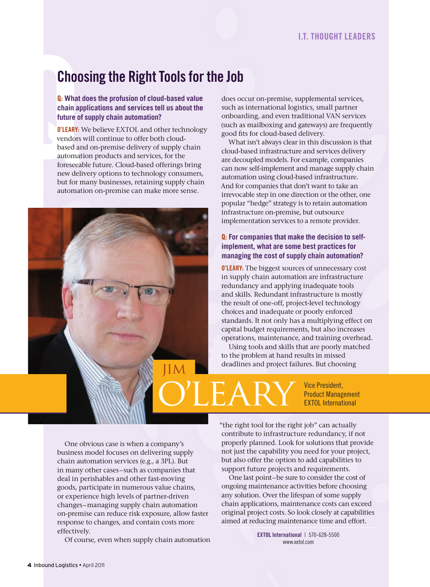# Choosing the Right Tools for the Job

Q: **What does the profusion of cloud-based value chain applications and services tell us about the future of supply chain automation?**

<span id="page-3-0"></span>Choo<br>
Q: What<br>
chain ap<br>
future of<br>
O'LEARY: Vendors<br>
based ar<br>
automat<br>
foreseeal<br>
new deli<br>
but for n **O'LEARY:** We believe EXTOL and other technology vendors will continue to offer both cloudbased and on-premise delivery of supply chain automation products and services, for the foreseeable future. Cloud-based offerings bring new delivery options to technology consumers, but for many businesses, retaining supply chain automation on-premise can make more sense.



does occur on-premise, supplemental services, such as international logistics, small partner onboarding, and even traditional VAN services (such as mailboxing and gateways) are frequently good fits for cloud-based delivery.

What isn't always clear in this discussion is that cloud-based infrastructure and services delivery are decoupled models. For example, companies can now self-implement and manage supply chain automation using cloud-based infrastructure. And for companies that don't want to take an irrevocable step in one direction or the other, one popular "hedge" strategy is to retain automation infrastructure on-premise, but outsource implementation services to a remote provider.

### Q: **For companies that make the decision to selfimplement, what are some best practices for managing the cost of supply chain automation?**

O'LEARY: The biggest sources of unnecessary cost in supply chain automation are infrastructure redundancy and applying inadequate tools and skills. Redundant infrastructure is mostly the result of one-off, project-level technology choices and inadequate or poorly enforced standards. It not only has a multiplying effect on capital budget requirements, but also increases operations, maintenance, and training overhead.

Using tools and skills that are poorly matched to the problem at hand results in missed deadlines and project failures. But choosing

**ILEARY** Vice President, Product Management EXTOL International

One obvious case is when a company's business model focuses on delivering supply chain automation services (e.g., a 3PL). But in many other cases–such as companies that deal in perishables and other fast-moving goods, participate in numerous value chains, or experience high levels of partner-driven changes–managing supply chain automation on-premise can reduce risk exposure, allow faster response to changes, and contain costs more effectively.

Of course, even when supply chain automation

"the right tool for the right job" can actually contribute to infrastructure redundancy, if not properly planned. Look for solutions that provide not just the capability you need for your project, but also offer the option to add capabilities to support future projects and requirements.

One last point–be sure to consider the cost of ongoing maintenance activities before choosing any solution. Over the lifespan of some supply chain applications, maintenance costs can exceed original project costs. So look closely at capabilities aimed at reducing maintenance time and effort.

> EXTOL International | 570-628-5500 www.extol.com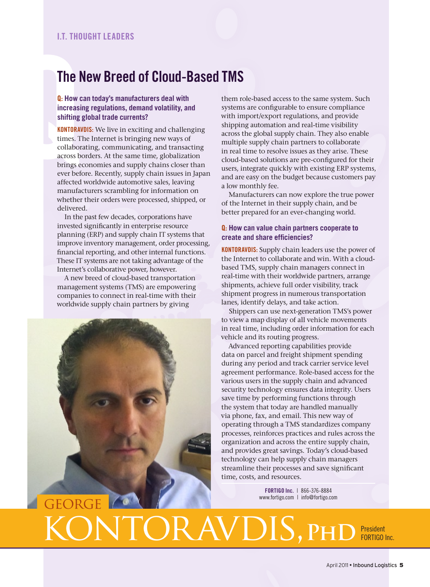### The New Breed of Cloud-Based TMS

### Q: **How can today's manufacturers deal with increasing regulations, demand volatility, and shifting global trade currents?**

<span id="page-4-0"></span>The Maintenant Control Control Control Control Control Control Control Control Control Control Control Control Control Control Control Control Control Control Control Control Control Control Control Control Control Control KONTORAVDIS: We live in exciting and challenging times. The Internet is bringing new ways of collaborating, communicating, and transacting across borders. At the same time, globalization brings economies and supply chains closer than ever before. Recently, supply chain issues in Japan affected worldwide automotive sales, leaving manufacturers scrambling for information on whether their orders were processed, shipped, or delivered.

> In the past few decades, corporations have invested significantly in enterprise resource planning (ERP) and supply chain IT systems that improve inventory management, order processing, financial reporting, and other internal functions. These IT systems are not taking advantage of the Internet's collaborative power, however.

A new breed of cloud-based transportation management systems (TMS) are empowering companies to connect in real-time with their worldwide supply chain partners by giving



them role-based access to the same system. Such systems are configurable to ensure compliance with import/export regulations, and provide shipping automation and real-time visibility across the global supply chain. They also enable multiple supply chain partners to collaborate in real time to resolve issues as they arise. These cloud-based solutions are pre-configured for their users, integrate quickly with existing ERP systems, and are easy on the budget because customers pay a low monthly fee.

Manufacturers can now explore the true power of the Internet in their supply chain, and be better prepared for an ever-changing world.

#### Q: **How can value chain partners cooperate to create and share efficiencies?**

**KONTORAVDIS:** Supply chain leaders use the power of the Internet to collaborate and win. With a cloudbased TMS, supply chain managers connect in real-time with their worldwide partners, arrange shipments, achieve full order visibility, track shipment progress in numerous transportation lanes, identify delays, and take action.

Shippers can use next-generation TMS's power to view a map display of all vehicle movements in real time, including order information for each vehicle and its routing progress.

Advanced reporting capabilities provide data on parcel and freight shipment spending during any period and track carrier service level agreement performance. Role-based access for the various users in the supply chain and advanced security technology ensures data integrity. Users save time by performing functions through the system that today are handled manually via phone, fax, and email. This new way of operating through a TMS standardizes company processes, reinforces practices and rules across the organization and across the entire supply chain, and provides great savings. Today's cloud-based technology can help supply chain managers streamline their processes and save significant time, costs, and resources.

> FORTIGO Inc. | 866-376-8884 www.fortigo.com | info@fortigo.com

# $\textbf{ICRAVDIS.}$  PH FORTIGO Inc.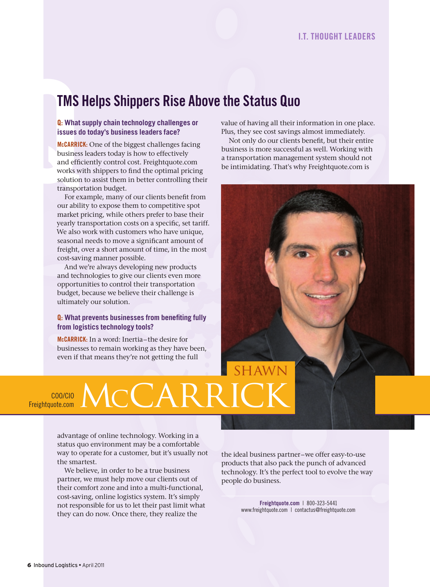### TMS Helps Shippers Rise Above the Status Quo

#### Q: **What supply chain technology challenges or issues do today's business leaders face?**

<span id="page-5-0"></span>**TMS**<br> **Q**: What<br> **issues d**<br> **McCARRIC**<br>
business<br>
and effic<br>
works w<br>
solution<br>
transpon<br>
For ex<br>
our abili McCARRICK: One of the biggest challenges facing business leaders today is how to effectively and efficiently control cost. Freightquote.com works with shippers to find the optimal pricing solution to assist them in better controlling their transportation budget.

For example, many of our clients benefit from our ability to expose them to competitive spot market pricing, while others prefer to base their yearly transportation costs on a specific, set tariff. We also work with customers who have unique, seasonal needs to move a significant amount of freight, over a short amount of time, in the most cost-saving manner possible.

And we're always developing new products and technologies to give our clients even more opportunities to control their transportation budget, because we believe their challenge is ultimately our solution.

### Q: **What prevents businesses from benefiting fully from logistics technology tools?**

McCARRICK: In a word: Inertia–the desire for businesses to remain working as they have been, even if that means they're not getting the full

COO/CIO  $\overline{\mathcal{L}}_{\mathsf{Freishtquote.com}}$   $\mathsf{MCA}$ 

> advantage of online technology. Working in a status quo environment may be a comfortable way to operate for a customer, but it's usually not the smartest.

We believe, in order to be a true business partner, we must help move our clients out of their comfort zone and into a multi-functional, cost-saving, online logistics system. It's simply not responsible for us to let their past limit what they can do now. Once there, they realize the

the ideal business partner–we offer easy-to-use products that also pack the punch of advanced technology. It's the perfect tool to evolve the way people do business.

> Freightquote.com | 800-323-5441 www.freightquote.com | contactus@freightquote.com

value of having all their information in one place. Plus, they see cost savings almost immediately.

Not only do our clients benefit, but their entire business is more successful as well. Working with a transportation management system should not be intimidating. That's why Freightquote.com is

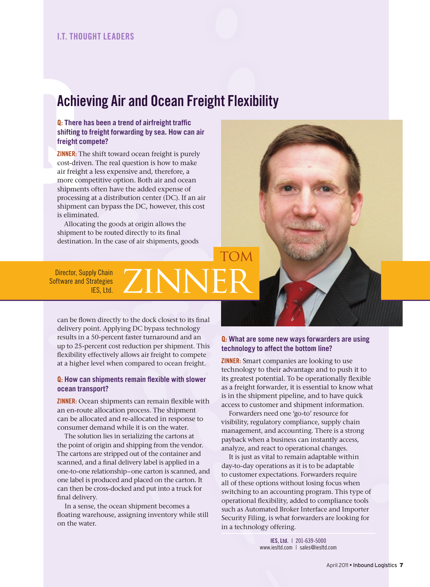### <span id="page-6-0"></span>I.T. THOUGHT LEADERS

### Achieving Air and Ocean Freight Flexibility

Q: **There has been a trend of airfreight traffic shifting to freight forwarding by sea. How can air freight compete?**

**Achief**<br> **Q**: There<br>
shifting<br>
freight c<br> **ZINNER:** T<br>
cost-driv<br>
air freigh<br>
more co<br>
shipmer<br>
processii<br>
shipmer **ZINNER:** The shift toward ocean freight is purely cost-driven. The real question is how to make air freight a less expensive and, therefore, a more competitive option. Both air and ocean shipments often have the added expense of processing at a distribution center (DC). If an air shipment can bypass the DC, however, this cost is eliminated.

> Allocating the goods at origin allows the shipment to be routed directly to its final destination. In the case of air shipments, goods

Director, Supply Chain Software and Strategies IFS, Ltd. ZINN

can be flown directly to the dock closest to its final delivery point. Applying DC bypass technology results in a 50-percent faster turnaround and an up to 25-percent cost reduction per shipment. This flexibility effectively allows air freight to compete at a higher level when compared to ocean freight.

#### Q: **How can shipments remain flexible with slower ocean transport?**

ZINNER: Ocean shipments can remain flexible with an en-route allocation process. The shipment can be allocated and re-allocated in response to consumer demand while it is on the water.

The solution lies in serializing the cartons at the point of origin and shipping from the vendor. The cartons are stripped out of the container and scanned, and a final delivery label is applied in a one-to-one relationship–one carton is scanned, and one label is produced and placed on the carton. It can then be cross-docked and put into a truck for final delivery.

In a sense, the ocean shipment becomes a floating warehouse, assigning inventory while still on the water.

### Q: **What are some new ways forwarders are using technology to affect the bottom line?**

**TOM** 

ZINNER: Smart companies are looking to use technology to their advantage and to push it to its greatest potential. To be operationally flexible as a freight forwarder, it is essential to know what is in the shipment pipeline, and to have quick access to customer and shipment information.

Forwarders need one 'go-to' resource for visibility, regulatory compliance, supply chain management, and accounting. There is a strong payback when a business can instantly access, analyze, and react to operational changes.

It is just as vital to remain adaptable within day-to-day operations as it is to be adaptable to customer expectations. Forwarders require all of these options without losing focus when switching to an accounting program. This type of operational flexibility, added to compliance tools such as Automated Broker Interface and Importer Security Filing, is what forwarders are looking for in a technology offering.

> IES, Ltd. | 201-639-5000 www.iesltd.com | sales@iesltd.com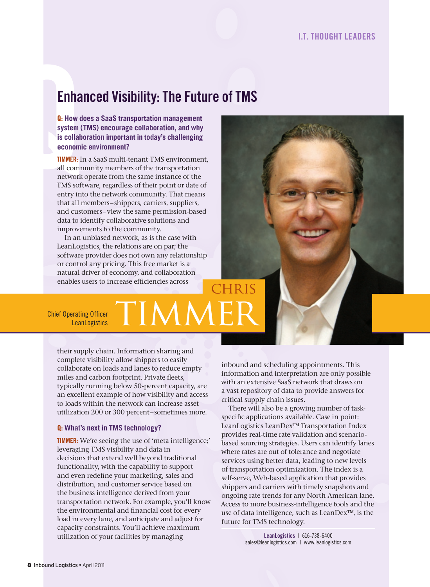# Enhanced Visibility: The Future of TMS

Q: **How does a SaaS transportation management system (TMS) encourage collaboration, and why is collaboration important in today's challenging economic environment?**

<span id="page-7-0"></span>**Enha**<br> **Q**: How d<br>
system (<br>
is collab<br>
economi<br> **TIMMER:** I<br>
all comr<br>
network<br>
TMS sof<br>
entry in Timmer: In a SaaS multi-tenant TMS environment, all community members of the transportation network operate from the same instance of the TMS software, regardless of their point or date of entry into the network community. That means that all members–shippers, carriers, suppliers, and customers–view the same permission-based data to identify collaborative solutions and improvements to the community.

> In an unbiased network, as is the case with LeanLogistics, the relations are on par; the software provider does not own any relationship or control any pricing. This free market is a natural driver of economy, and collaboration enables users to increase efficiencies across

 $\mathsf{C}$ Prating Officer **TIMM** 

Chief Operating Officer

their supply chain. Information sharing and complete visibility allow shippers to easily collaborate on loads and lanes to reduce empty miles and carbon footprint. Private fleets, typically running below 50-percent capacity, are an excellent example of how visibility and access to loads within the network can increase asset utilization 200 or 300 percent–sometimes more.

#### Q: **What's next in TMS technology?**

**TIMMER:** We're seeing the use of 'meta intelligence;' leveraging TMS visibility and data in decisions that extend well beyond traditional functionality, with the capability to support and even redefine your marketing, sales and distribution, and customer service based on the business intelligence derived from your transportation network. For example, you'll know the environmental and financial cost for every load in every lane, and anticipate and adjust for capacity constraints. You'll achieve maximum utilization of your facilities by managing

inbound and scheduling appointments. This information and interpretation are only possible with an extensive SaaS network that draws on a vast repository of data to provide answers for critical supply chain issues.

There will also be a growing number of taskspecific applications available. Case in point: LeanLogistics LeanDex™ Transportation Index provides real-time rate validation and scenariobased sourcing strategies. Users can identify lanes where rates are out of tolerance and negotiate services using better data, leading to new levels of transportation optimization. The index is a self-serve, Web-based application that provides shippers and carriers with timely snapshots and ongoing rate trends for any North American lane. Access to more business-intelligence tools and the use of data intelligence, such as LeanDex™, is the future for TMS technology.

> LeanLogistics | 616-738-6400 sales@leanlogistics.com | www.leanlogistics.com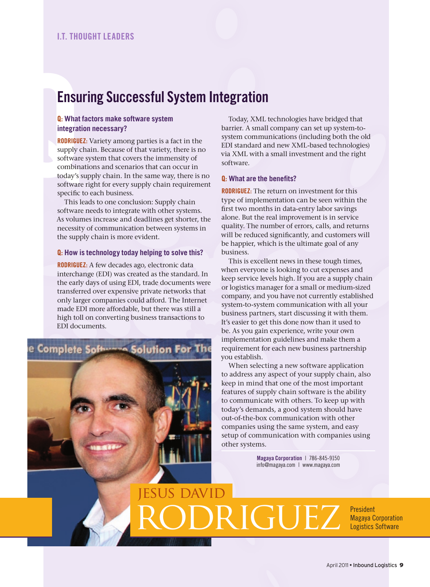# Ensuring Successful System Integration

### Q: **What factors make software system integration necessary?**

<span id="page-8-0"></span>**ENSU**<br> **Q**: What<br>
integrati<br> **RODRIGUE**<br>
supply c<br>
software<br>
combina<br>
today's s<br>
software<br>
specific<br>
This le RODRIGUEZ: Variety among parties is a fact in the supply chain. Because of that variety, there is no software system that covers the immensity of combinations and scenarios that can occur in today's supply chain. In the same way, there is no software right for every supply chain requirement specific to each business.

This leads to one conclusion: Supply chain software needs to integrate with other systems. As volumes increase and deadlines get shorter, the necessity of communication between systems in the supply chain is more evident.

#### Q: **How is technology today helping to solve this?**

RODRIGUEZ: A few decades ago, electronic data interchange (EDI) was created as the standard. In the early days of using EDI, trade documents were transferred over expensive private networks that only larger companies could afford. The Internet made EDI more affordable, but there was still a high toll on converting business transactions to EDI documents.

e Complete Software **Solution For The** 

**S DAVID** 

Today, XML technologies have bridged that barrier. A small company can set up system-tosystem communications (including both the old EDI standard and new XML-based technologies) via XML with a small investment and the right software.

#### Q: **What are the benefits?**

**RODRIGUEZ:** The return on investment for this type of implementation can be seen within the first two months in data-entry labor savings alone. But the real improvement is in service quality. The number of errors, calls, and returns will be reduced significantly, and customers will be happier, which is the ultimate goal of any business.

This is excellent news in these tough times, when everyone is looking to cut expenses and keep service levels high. If you are a supply chain or logistics manager for a small or medium-sized company, and you have not currently established system-to-system communication with all your business partners, start discussing it with them. It's easier to get this done now than it used to be. As you gain experience, write your own implementation guidelines and make them a requirement for each new business partnership you establish.

When selecting a new software application to address any aspect of your supply chain, also keep in mind that one of the most important features of supply chain software is the ability to communicate with others. To keep up with today's demands, a good system should have out-of-the-box communication with other companies using the same system, and easy setup of communication with companies using other systems.

> Magaya Corporation | 786-845-9150 info@magaya.com | www.magaya.com

RIGUEZ **Resident** Magaya Corporation Logistics Software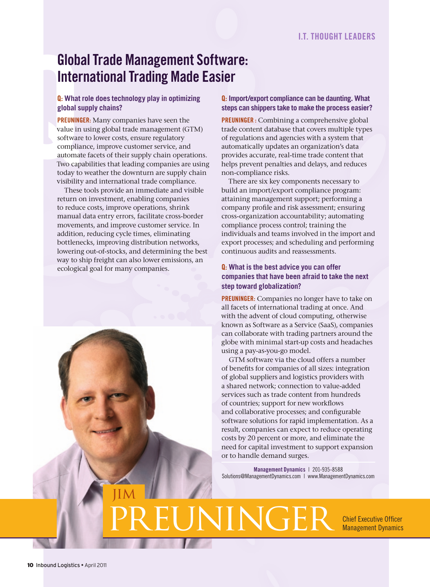# Global Trade Management Software: International Trading Made Easier

### Q: **What role does technology play in optimizing global supply chains?**

<span id="page-9-0"></span>**Globat**<br> **Inter**<br> **a**: What<br> **global star precuning**<br> **value in**<br>
software<br>
complia<br>
automat<br>
Two cap<br>
today to<br>
visibility PREUNINGER: Many companies have seen the value in using global trade management (GTM) software to lower costs, ensure regulatory compliance, improve customer service, and automate facets of their supply chain operations. Two capabilities that leading companies are using today to weather the downturn are supply chain visibility and international trade compliance.

> These tools provide an immediate and visible return on investment, enabling companies to reduce costs, improve operations, shrink manual data entry errors, facilitate cross-border movements, and improve customer service. In addition, reducing cycle times, eliminating bottlenecks, improving distribution networks, lowering out-of-stocks, and determining the best way to ship freight can also lower emissions, an ecological goal for many companies.



### Q: **Import/export compliance can be daunting. What steps can shippers take to make the process easier?**

PREUNINGER : Combining a comprehensive global trade content database that covers multiple types of regulations and agencies with a system that automatically updates an organization's data provides accurate, real-time trade content that helps prevent penalties and delays, and reduces non-compliance risks.

There are six key components necessary to build an import/export compliance program: attaining management support; performing a company profile and risk assessment; ensuring cross-organization accountability; automating compliance process control; training the individuals and teams involved in the import and export processes; and scheduling and performing continuous audits and reassessments.

### Q: **What is the best advice you can offer companies that have been afraid to take the next step toward globalization?**

**PREUNINGER:** Companies no longer have to take on all facets of international trading at once. And with the advent of cloud computing, otherwise known as Software as a Service (SaaS), companies can collaborate with trading partners around the globe with minimal start-up costs and headaches using a pay-as-you-go model.

GTM software via the cloud offers a number of benefits for companies of all sizes: integration of global suppliers and logistics providers with a shared network; connection to value-added services such as trade content from hundreds of countries; support for new workflows and collaborative processes; and configurable software solutions for rapid implementation. As a result, companies can expect to reduce operating costs by 20 percent or more, and eliminate the need for capital investment to support expansion or to handle demand surges.

Management Dynamics | 201-935-8588 Solutions@ManagementDynamics.com | www.ManagementDynamics.com

**PREVIEW Chief Executive Officer** 

Management Dynamics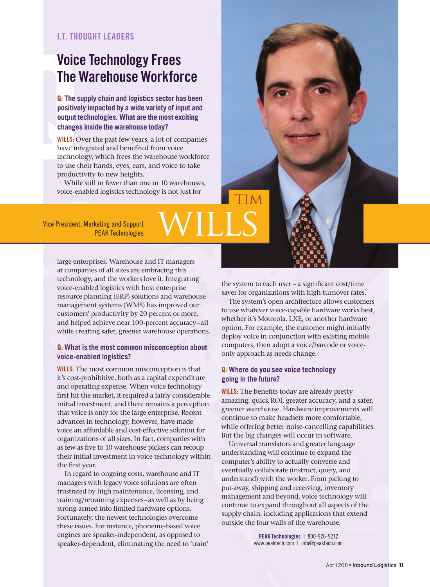### I.T. THOUGHT LEADERS

# Voice Technology Frees The Warehouse Workforce

Q: **The supply chain and logistics sector has been positively impacted by a wide variety of input and output technologies. What are the most exciting changes inside the warehouse today?**

<span id="page-10-0"></span>Voice<br>
The V<br>
Q: The st<br>
positivel<br>
output te<br>
changes<br>
WILLS: Ob<br>
have int<br>
technold<br>
to use the<br>
production<br>
Wikile **WILLS:** Over the past few years, a lot of companies have integrated and benefited from voice technology, which frees the warehouse workforce to use their hands, eyes, ears, and voice to take productivity to new heights.

While still in fewer than one in 10 warehouses, voice-enabled logistics technology is not just for

Vice President, Marketing and Support keting and Support<br>PEAK Technologies

> large enterprises. Warehouse and IT managers at companies of all sizes are embracing this technology, and the workers love it. Integrating voice-enabled logistics with host enterprise resource planning (ERP) solutions and warehouse management systems (WMS) has improved our customers' productivity by 20 percent or more, and helped achieve near 100-percent accuracy–all while creating safer, greener warehouse operations.

### Q: **What is the most common misconception about voice-enabled logistics?**

**WILLS:** The most common misconception is that it's cost-prohibitive, both as a capital expenditure and operating expense. When voice technology first hit the market, it required a fairly considerable initial investment, and there remains a perception that voice is only for the large enterprise. Recent advances in technology, however, have made voice an affordable and cost-effective solution for organizations of all sizes. In fact, companies with as few as five to 10 warehouse pickers can recoup their initial investment in voice technology within the first year.

In regard to ongoing costs, warehouse and IT managers with legacy voice solutions are often frustrated by high maintenance, licensing, and training/retraining expenses–as well as by being strong-armed into limited hardware options. Fortunately, the newest technologies overcome these issues. For instance, phoneme-based voice engines are speaker-independent, as opposed to speaker-dependent, eliminating the need to 'train'

the system to each user – a significant cost/time saver for organizations with high turnover rates.

Tim

The system's open architecture allows customers to use whatever voice-capable hardware works best, whether it's Motorola, LXE, or another hardware option. For example, the customer might initially deploy voice in conjunction with existing mobile computers, then adopt a voice/barcode or voiceonly approach as needs change.

#### Q: **Where do you see voice technology going in the future?**

**WILLS:** The benefits today are already pretty amazing: quick ROI, greater accuracy, and a safer, greener warehouse. Hardware improvements will continue to make headsets more comfortable, while offering better noise-cancelling capabilities. But the big changes will occur in software.

Universal translators and greater language understanding will continue to expand the computer's ability to actually converse and eventually collaborate (instruct, query, and understand) with the worker. From picking to put-away, shipping and receiving, inventory management and beyond, voice technology will continue to expand throughout all aspects of the supply chain, including applications that extend outside the four walls of the warehouse.

> PEAK Technologies | 800-926-9212 www.peaktech.com | info@peaktech.com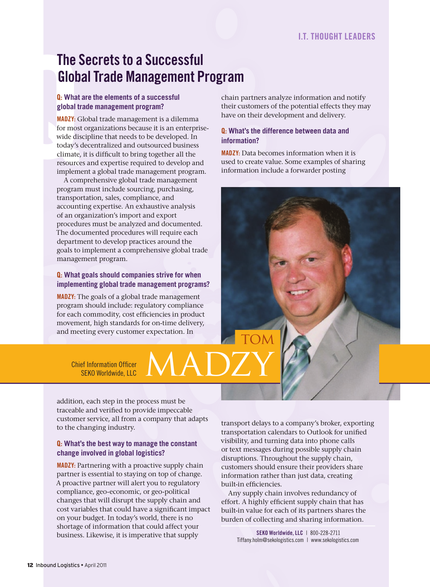# The Secrets to a Successful Global Trade Management Program

### Q: **What are the elements of a successful global trade management program?**

<span id="page-11-0"></span>**The S**<br> **Glob**<br> **a**: What a<br> **global tr**<br> **MADZY:** G<br>
for most<br>
wide dis<br>
today's c<br>
climate,<br>
resource<br>
impleme<br>
A com MADZY: Global trade management is a dilemma for most organizations because it is an enterprisewide discipline that needs to be developed. In today's decentralized and outsourced business climate, it is difficult to bring together all the resources and expertise required to develop and implement a global trade management program.

A comprehensive global trade management program must include sourcing, purchasing, transportation, sales, compliance, and accounting expertise. An exhaustive analysis of an organization's import and export procedures must be analyzed and documented. The documented procedures will require each department to develop practices around the goals to implement a comprehensive global trade management program.

### Q: **What goals should companies strive for when implementing global trade management programs?**

MADZY: The goals of a global trade management program should include: regulatory compliance for each commodity, cost efficiencies in product movement, high standards for on-time delivery, and meeting every customer expectation. In

chain partners analyze information and notify their customers of the potential effects they may have on their development and delivery.

### Q: **What's the difference between data and information?**

MADZY: Data becomes information when it is used to create value. Some examples of sharing information include a forwarder posting

Chief Information Officer Ef Information Officer MADZY

addition, each step in the process must be traceable and verified to provide impeccable customer service, all from a company that adapts to the changing industry.

### Q: **What's the best way to manage the constant change involved in global logistics?**

MADZY: Partnering with a proactive supply chain partner is essential to staying on top of change. A proactive partner will alert you to regulatory compliance, geo-economic, or geo-political changes that will disrupt the supply chain and cost variables that could have a significant impact on your budget. In today's world, there is no shortage of information that could affect your business. Likewise, it is imperative that supply

transport delays to a company's broker, exporting transportation calendars to Outlook for unified visibility, and turning data into phone calls or text messages during possible supply chain disruptions. Throughout the supply chain, customers should ensure their providers share information rather than just data, creating built-in efficiencies.

**TOM** 

Any supply chain involves redundancy of effort. A highly efficient supply chain that has built-in value for each of its partners shares the burden of collecting and sharing information.

> SEKO Worldwide, LLC | 800-228-2711 Tiffany.holm@sekologistics.com | www.sekologistics.com